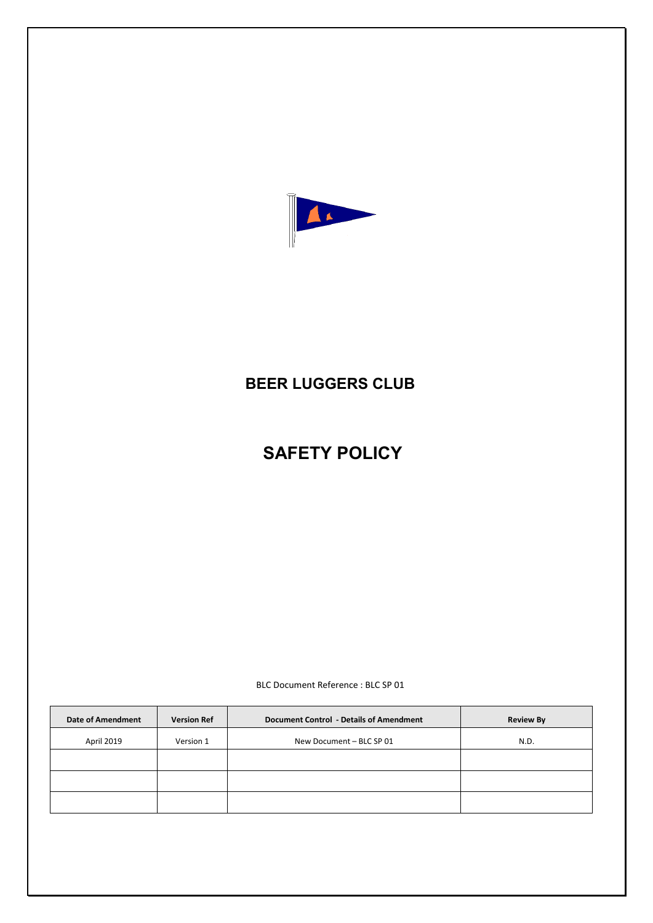

# **BEER LUGGERS CLUB**

# **SAFETY POLICY**

BLC Document Reference : BLC SP 01

| <b>Date of Amendment</b> | <b>Version Ref</b> | <b>Document Control - Details of Amendment</b> | <b>Review By</b> |
|--------------------------|--------------------|------------------------------------------------|------------------|
| April 2019               | Version 1          | New Document - BLC SP 01                       | N.D.             |
|                          |                    |                                                |                  |
|                          |                    |                                                |                  |
|                          |                    |                                                |                  |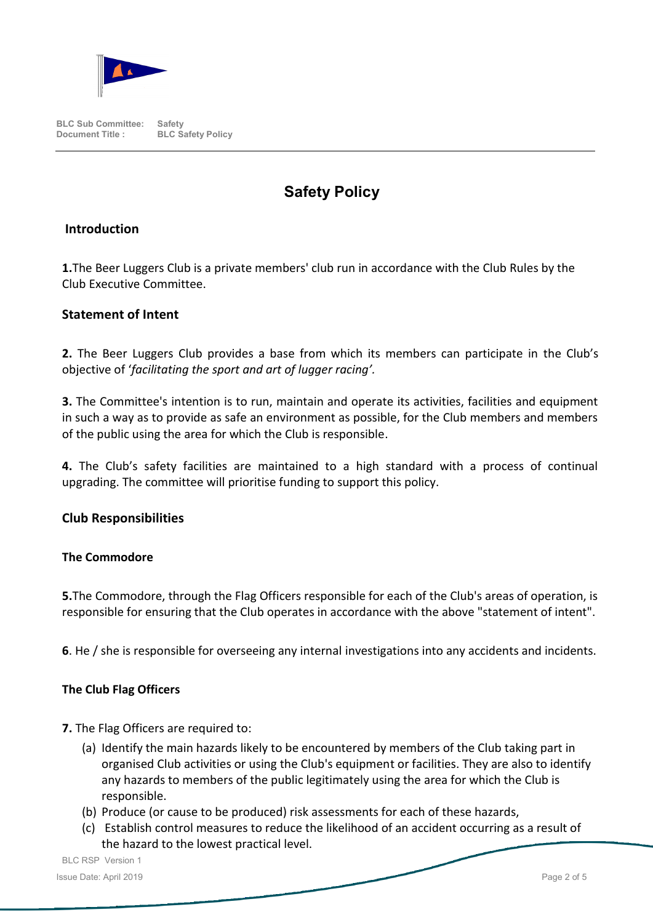

# **Safety Policy**

## **Introduction**

**1.**The Beer Luggers Club is a private members' club run in accordance with the Club Rules by the Club Executive Committee.

## **Statement of Intent**

**2.** The Beer Luggers Club provides a base from which its members can participate in the Club's objective of '*facilitating the sport and art of lugger racing'.*

**3.** The Committee's intention is to run, maintain and operate its activities, facilities and equipment in such a way as to provide as safe an environment as possible, for the Club members and members of the public using the area for which the Club is responsible.

**4.** The Club's safety facilities are maintained to a high standard with a process of continual upgrading. The committee will prioritise funding to support this policy.

## **Club Responsibilities**

#### **The Commodore**

**5.**The Commodore, through the Flag Officers responsible for each of the Club's areas of operation, is responsible for ensuring that the Club operates in accordance with the above "statement of intent".

**6**. He / she is responsible for overseeing any internal investigations into any accidents and incidents.

#### **The Club Flag Officers**

- **7.** The Flag Officers are required to:
	- (a) Identify the main hazards likely to be encountered by members of the Club taking part in organised Club activities or using the Club's equipment or facilities. They are also to identify any hazards to members of the public legitimately using the area for which the Club is responsible.
	- (b) Produce (or cause to be produced) risk assessments for each of these hazards,
	- (c) Establish control measures to reduce the likelihood of an accident occurring as a result of the hazard to the lowest practical level.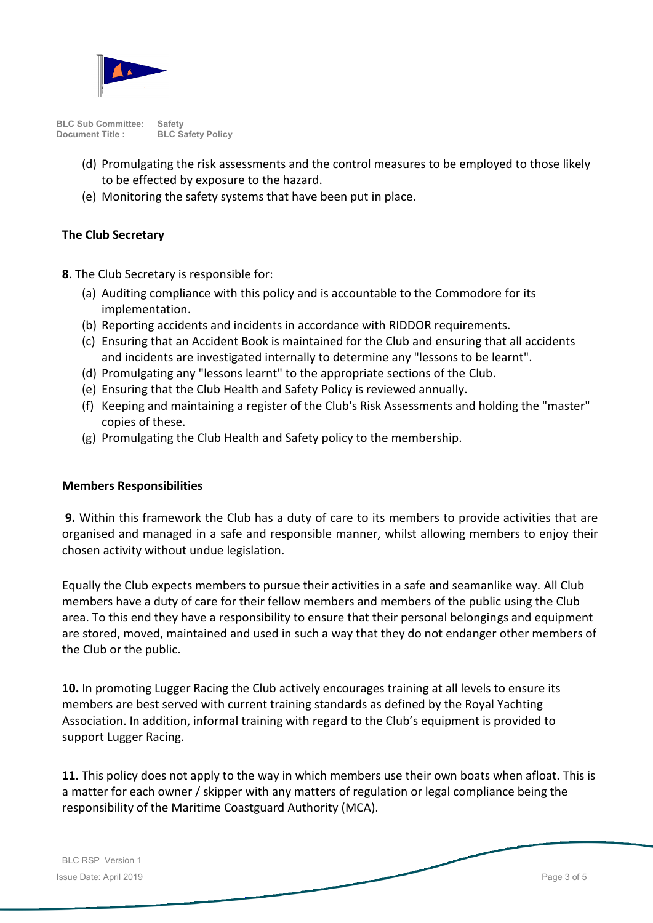

- (d) Promulgating the risk assessments and the control measures to be employed to those likely to be effected by exposure to the hazard.
- (e) Monitoring the safety systems that have been put in place.

#### **The Club Secretary**

**8**. The Club Secretary is responsible for:

- (a) Auditing compliance with this policy and is accountable to the Commodore for its implementation.
- (b) Reporting accidents and incidents in accordance with RIDDOR requirements.
- (c) Ensuring that an Accident Book is maintained for the Club and ensuring that all accidents and incidents are investigated internally to determine any "lessons to be learnt".
- (d) Promulgating any "lessons learnt" to the appropriate sections of the Club.
- (e) Ensuring that the Club Health and Safety Policy is reviewed annually.
- (f) Keeping and maintaining a register of the Club's Risk Assessments and holding the "master" copies of these.
- (g) Promulgating the Club Health and Safety policy to the membership.

#### **Members Responsibilities**

**9.** Within this framework the Club has a duty of care to its members to provide activities that are organised and managed in a safe and responsible manner, whilst allowing members to enjoy their chosen activity without undue legislation.

Equally the Club expects members to pursue their activities in a safe and seamanlike way. All Club members have a duty of care for their fellow members and members of the public using the Club area. To this end they have a responsibility to ensure that their personal belongings and equipment are stored, moved, maintained and used in such a way that they do not endanger other members of the Club or the public.

**10.** In promoting Lugger Racing the Club actively encourages training at all levels to ensure its members are best served with current training standards as defined by the Royal Yachting Association. In addition, informal training with regard to the Club's equipment is provided to support Lugger Racing.

**11.** This policy does not apply to the way in which members use their own boats when afloat. This is a matter for each owner / skipper with any matters of regulation or legal compliance being the responsibility of the Maritime Coastguard Authority (MCA).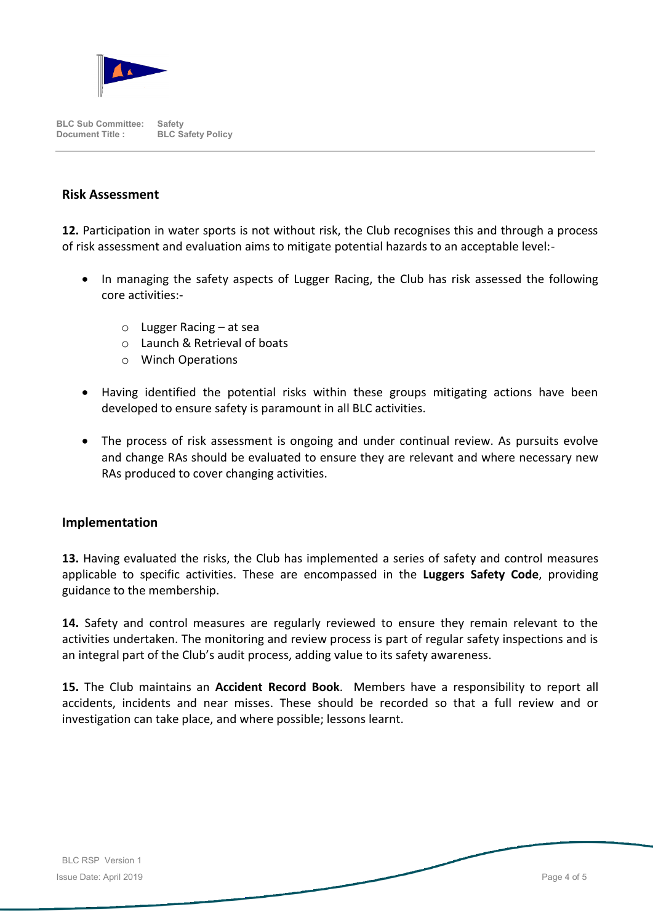

#### **Risk Assessment**

**12.** Participation in water sports is not without risk, the Club recognises this and through a process of risk assessment and evaluation aims to mitigate potential hazards to an acceptable level:-

- In managing the safety aspects of Lugger Racing, the Club has risk assessed the following core activities:
	- o Lugger Racing at sea
	- o Launch & Retrieval of boats
	- o Winch Operations
- Having identified the potential risks within these groups mitigating actions have been developed to ensure safety is paramount in all BLC activities.
- The process of risk assessment is ongoing and under continual review. As pursuits evolve and change RAs should be evaluated to ensure they are relevant and where necessary new RAs produced to cover changing activities.

#### **Implementation**

**13.** Having evaluated the risks, the Club has implemented a series of safety and control measures applicable to specific activities. These are encompassed in the **Luggers Safety Code**, providing guidance to the membership.

**14.** Safety and control measures are regularly reviewed to ensure they remain relevant to the activities undertaken. The monitoring and review process is part of regular safety inspections and is an integral part of the Club's audit process, adding value to its safety awareness.

**15.** The Club maintains an **Accident Record Book**. Members have a responsibility to report all accidents, incidents and near misses. These should be recorded so that a full review and or investigation can take place, and where possible; lessons learnt.